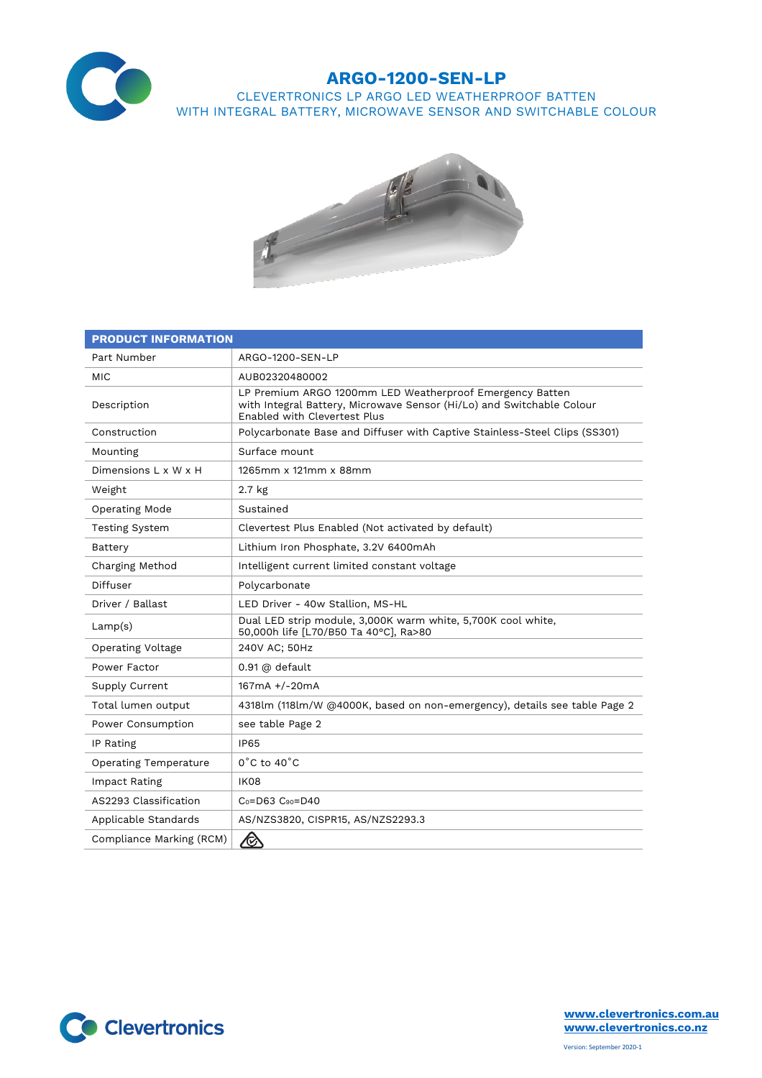

## **ARGO-1200-SEN-LP**

CLEVERTRONICS LP ARGO LED WEATHERPROOF BATTEN WITH INTEGRAL BATTERY, MICROWAVE SENSOR AND SWITCHABLE COLOUR



| <b>PRODUCT INFORMATION</b>   |                                                                                                                                                                          |  |  |
|------------------------------|--------------------------------------------------------------------------------------------------------------------------------------------------------------------------|--|--|
| Part Number                  | ARGO-1200-SEN-LP                                                                                                                                                         |  |  |
| <b>MIC</b>                   | AUB02320480002                                                                                                                                                           |  |  |
| Description                  | LP Premium ARGO 1200mm LED Weatherproof Emergency Batten<br>with Integral Battery, Microwave Sensor (Hi/Lo) and Switchable Colour<br><b>Enabled with Clevertest Plus</b> |  |  |
| Construction                 | Polycarbonate Base and Diffuser with Captive Stainless-Steel Clips (SS301)                                                                                               |  |  |
| Mounting                     | Surface mount                                                                                                                                                            |  |  |
| Dimensions L x W x H         | 1265mm x 121mm x 88mm                                                                                                                                                    |  |  |
| Weight                       | 2.7 kg                                                                                                                                                                   |  |  |
| <b>Operating Mode</b>        | Sustained                                                                                                                                                                |  |  |
| <b>Testing System</b>        | Clevertest Plus Enabled (Not activated by default)                                                                                                                       |  |  |
| Battery                      | Lithium Iron Phosphate, 3.2V 6400mAh                                                                                                                                     |  |  |
| Charging Method              | Intelligent current limited constant voltage                                                                                                                             |  |  |
| Diffuser                     | Polycarbonate                                                                                                                                                            |  |  |
| Driver / Ballast             | LED Driver - 40w Stallion, MS-HL                                                                                                                                         |  |  |
| Lamp(s)                      | Dual LED strip module, 3,000K warm white, 5,700K cool white,<br>50,000h life [L70/B50 Ta 40°C], Ra>80                                                                    |  |  |
| <b>Operating Voltage</b>     | 240V AC; 50Hz                                                                                                                                                            |  |  |
| Power Factor                 | 0.91 @ default                                                                                                                                                           |  |  |
| Supply Current               | 167mA +/-20mA                                                                                                                                                            |  |  |
| Total lumen output           | 4318lm (118lm/W @4000K, based on non-emergency), details see table Page 2                                                                                                |  |  |
| Power Consumption            | see table Page 2                                                                                                                                                         |  |  |
| IP Rating                    | <b>IP65</b>                                                                                                                                                              |  |  |
| <b>Operating Temperature</b> | $0^{\circ}$ C to 40 $^{\circ}$ C                                                                                                                                         |  |  |
| Impact Rating                | <b>IK08</b>                                                                                                                                                              |  |  |
| AS2293 Classification        | $C_0 = D63$ $C_{90} = D40$                                                                                                                                               |  |  |
| Applicable Standards         | AS/NZS3820, CISPR15, AS/NZS2293.3                                                                                                                                        |  |  |
| Compliance Marking (RCM)     | $\bigotimes$                                                                                                                                                             |  |  |